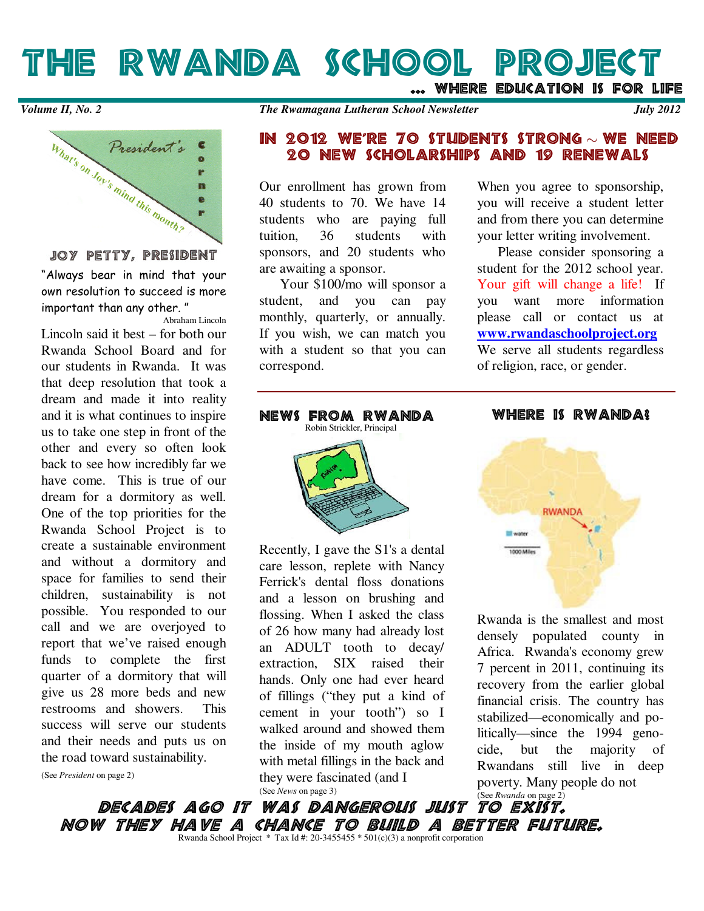THE RWANDA SCHOOL PROJECT ... WHERE EDUCATION IS FOR LIFE

What's on Joy's mind this month? m ē

**JOY PETTY, PRESIDENT** 

"Always bear in mind that your own resolution to succeed is more important than any other. "

Abraham Lincoln Lincoln said it best – for both our Rwanda School Board and for our students in Rwanda. It was that deep resolution that took a dream and made it into reality and it is what continues to inspire us to take one step in front of the other and every so often look back to see how incredibly far we have come. This is true of our dream for a dormitory as well. One of the top priorities for the Rwanda School Project is to create a sustainable environment and without a dormitory and space for families to send their children, sustainability is not possible. You responded to our call and we are overjoyed to report that we've raised enough funds to complete the first quarter of a dormitory that will give us 28 more beds and new restrooms and showers. This success will serve our students and their needs and puts us on the road toward sustainability.

(See *President* on page 2)

### IN 2012 WE'RE 70 STUDENTS STRONG  $\sim$  WE NEED 20 NEW SCHOLARSHIPS AND 19 RENEWALS

Our enrollment has grown from 40 students to 70. We have 14 students who are paying full tuition, 36 students with sponsors, and 20 students who are awaiting a sponsor.

 Your \$100/mo will sponsor a student, and you can pay monthly, quarterly, or annually. If you wish, we can match you with a student so that you can correspond.

When you agree to sponsorship, you will receive a student letter and from there you can determine your letter writing involvement.

 Please consider sponsoring a student for the 2012 school year. Your gift will change a life! If you want more information please call or contact us at **www.rwandaschoolproject.org** We serve all students regardless of religion, race, or gender.

NEWS FROM RWANDA Robin Strickler, Principal

Recently, I gave the S1's a dental care lesson, replete with Nancy Ferrick's dental floss donations and a lesson on brushing and flossing. When I asked the class of 26 how many had already lost an ADULT tooth to decay/ extraction, SIX raised their hands. Only one had ever heard of fillings ("they put a kind of cement in your tooth") so I walked around and showed them the inside of my mouth aglow with metal fillings in the back and they were fascinated (and I (See *News* on page 3)

WHERE IS RWANDA!



Rwanda is the smallest and most densely populated county in Africa. Rwanda's economy grew 7 percent in 2011, continuing its recovery from the earlier global financial crisis. The country has stabilized—economically and politically—since the 1994 genocide, but the majority of Rwandans still live in deep poverty. Many people do not

decades ago it was dangerous just NOW THEY HAVE A CHANCE TO BUILD A BETTER FUTURE. Rwanda School Project \* Tax Id #: 20-3455455 \* 501(c)(3) a nonprofit corporation (See *Rwanda* on page 2)<br>**TO** EXIST.

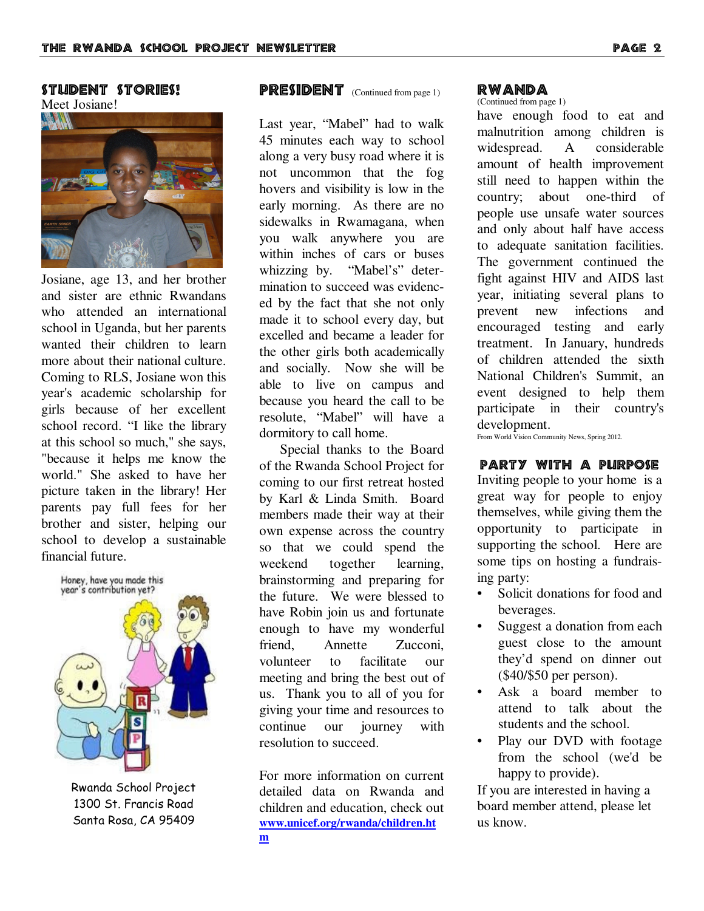### STUDENT STORIES!

Meet Josiane!



Josiane, age 13, and her brother and sister are ethnic Rwandans who attended an international school in Uganda, but her parents wanted their children to learn more about their national culture. Coming to RLS, Josiane won this year's academic scholarship for girls because of her excellent school record. "I like the library at this school so much," she says, "because it helps me know the world." She asked to have her picture taken in the library! Her parents pay full fees for her brother and sister, helping our school to develop a sustainable financial future.



Rwanda School Project 1300 St. Francis Road Santa Rosa, CA 95409

## $\n **PRESIDENT**\n (Continued from page 1)\n$

Last year, "Mabel" had to walk 45 minutes each way to school along a very busy road where it is not uncommon that the fog hovers and visibility is low in the early morning. As there are no sidewalks in Rwamagana, when you walk anywhere you are within inches of cars or buses whizzing by. "Mabel's" determination to succeed was evidenced by the fact that she not only made it to school every day, but excelled and became a leader for the other girls both academically and socially. Now she will be able to live on campus and because you heard the call to be resolute, "Mabel" will have a dormitory to call home.

 Special thanks to the Board of the Rwanda School Project for coming to our first retreat hosted by Karl & Linda Smith. Board members made their way at their own expense across the country so that we could spend the weekend together learning, brainstorming and preparing for the future. We were blessed to have Robin join us and fortunate enough to have my wonderful friend, Annette Zucconi, volunteer to facilitate our meeting and bring the best out of us. Thank you to all of you for giving your time and resources to continue our journey with resolution to succeed.

For more information on current detailed data on Rwanda and children and education, check out **www.unicef.org/rwanda/children.ht m**

#### RWANDA

(Continued from page 1) have enough food to eat and malnutrition among children is widespread. A considerable amount of health improvement still need to happen within the country; about one-third of people use unsafe water sources and only about half have access to adequate sanitation facilities. The government continued the fight against HIV and AIDS last year, initiating several plans to prevent new infections and encouraged testing and early treatment. In January, hundreds of children attended the sixth National Children's Summit, an event designed to help them participate in their country's development.

From World Vision Community News, Spring 2012.

#### party with a purpose

Inviting people to your home is a great way for people to enjoy themselves, while giving them the opportunity to participate in supporting the school. Here are some tips on hosting a fundraising party:

- Solicit donations for food and beverages.
- Suggest a donation from each guest close to the amount they'd spend on dinner out  $(\$40/\$50$  per person).
- Ask a board member to attend to talk about the students and the school.
- Play our DVD with footage from the school (we'd be happy to provide).

If you are interested in having a board member attend, please let us know.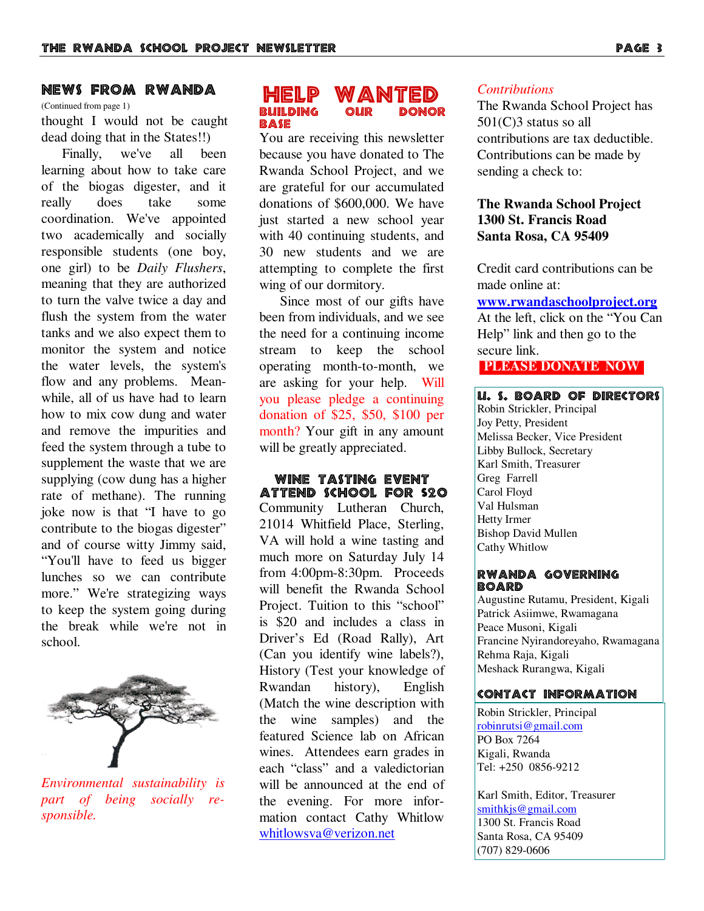### NEWS FROM RWANDA

(Continued from page 1)

thought I would not be caught dead doing that in the States!!)

Finally, we've all been learning about how to take care of the biogas digester, and it really does take some coordination. We've appointed two academically and socially responsible students (one boy, one girl) to be *Daily Flushers*, meaning that they are authorized to turn the valve twice a day and flush the system from the water tanks and we also expect them to monitor the system and notice the water levels, the system's flow and any problems. Meanwhile, all of us have had to learn how to mix cow dung and water and remove the impurities and feed the system through a tube to supplement the waste that we are supplying (cow dung has a higher rate of methane). The running joke now is that "I have to go contribute to the biogas digester" and of course witty Jimmy said, "You'll have to feed us bigger lunches so we can contribute more." We're strategizing ways to keep the system going during the break while we're not in school.



*Environmental sustainability is part of being socially responsible.*

### HELP WANTED **BUILDING BASE**

You are receiving this newsletter because you have donated to The Rwanda School Project, and we are grateful for our accumulated donations of \$600,000. We have just started a new school year with 40 continuing students, and 30 new students and we are attempting to complete the first wing of our dormitory.

 Since most of our gifts have been from individuals, and we see the need for a continuing income stream to keep the school operating month-to-month, we are asking for your help. Will you please pledge a continuing donation of \$25, \$50, \$100 per month? Your gift in any amount will be greatly appreciated.

WINE TASTING EVENT ATTEND SCHOOL FOR \$20 Community Lutheran Church, 21014 Whitfield Place, Sterling, VA will hold a wine tasting and much more on Saturday July 14 from 4:00pm-8:30pm. Proceeds will benefit the Rwanda School Project. Tuition to this "school" is \$20 and includes a class in Driver's Ed (Road Rally), Art (Can you identify wine labels?), History (Test your knowledge of Rwandan history), English (Match the wine description with the wine samples) and the featured Science lab on African wines. Attendees earn grades in each "class" and a valedictorian will be announced at the end of the evening. For more information contact Cathy Whitlow whitlowsva@verizon.net

#### *Contributions*

The Rwanda School Project has 501(C)3 status so all contributions are tax deductible. Contributions can be made by sending a check to:

### **The Rwanda School Project 1300 St. Francis Road Santa Rosa, CA 95409**

Credit card contributions can be made online at:

## **www.rwandaschoolproject.org**

At the left, click on the "You Can Help" link and then go to the secure link.

#### **PLEASE DONATE NOW**

#### U. S. BOARD OF DIRECTORS

Robin Strickler, Principal Joy Petty, President Melissa Becker, Vice President Libby Bullock, Secretary Karl Smith, Treasurer Greg Farrell Carol Floyd Val Hulsman Hetty Irmer Bishop David Mullen Cathy Whitlow

#### RWANDA GOVERNING **BOARD**

Augustine Rutamu, President, Kigali Patrick Asiimwe, Rwamagana Peace Musoni, Kigali Francine Nyirandoreyaho, Rwamagana Rehma Raja, Kigali Meshack Rurangwa, Kigali

#### CONTACT INFORMATION

Robin Strickler, Principal robinrutsi@gmail.com PO Box 7264 Kigali, Rwanda Tel: +250 0856-9212

Karl Smith, Editor, Treasurer smithkjs@gmail.com 1300 St. Francis Road Santa Rosa, CA 95409 (707) 829-0606